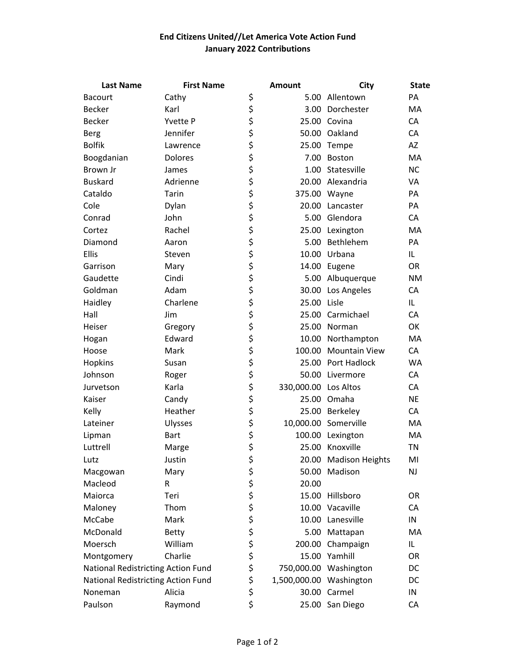## **End Citizens United//Let America Vote Action Fund January 2022 Contributions**

| <b>Last Name</b>                   | <b>First Name</b> |           | <b>Amount</b>           | City                  | <b>State</b> |
|------------------------------------|-------------------|-----------|-------------------------|-----------------------|--------------|
| <b>Bacourt</b>                     | Cathy             | \$        |                         | 5.00 Allentown        | PA           |
| Becker                             | Karl              | \$        |                         | 3.00 Dorchester       | МA           |
| <b>Becker</b>                      | Yvette P          | \$        |                         | 25.00 Covina          | CA           |
| <b>Berg</b>                        | Jennifer          | \$        |                         | 50.00 Oakland         | CA           |
| <b>Bolfik</b>                      | Lawrence          | \$        |                         | 25.00 Tempe           | AZ           |
| Boogdanian                         | Dolores           | \$        | 7.00                    | Boston                | MA           |
| Brown Jr                           | James             | \$        |                         | 1.00 Statesville      | <b>NC</b>    |
| <b>Buskard</b>                     | Adrienne          |           |                         | 20.00 Alexandria      | VA           |
| Cataldo                            | Tarin             | \$<br>\$  |                         | 375.00 Wayne          | PA           |
| Cole                               | Dylan             | \$        |                         | 20.00 Lancaster       | PA           |
| Conrad                             | John              | \$        |                         | 5.00 Glendora         | CA           |
| Cortez                             | Rachel            | \$        |                         | 25.00 Lexington       | MA           |
| Diamond                            | Aaron             | \$        | 5.00                    | Bethlehem             | PA           |
| Ellis                              | Steven            | \$        | 10.00                   | Urbana                | IL.          |
| Garrison                           | Mary              | \$        |                         | 14.00 Eugene          | <b>OR</b>    |
| Gaudette                           | Cindi             |           | 5.00                    | Albuquerque           | <b>NM</b>    |
| Goldman                            | Adam              | \$<br>\$  |                         | 30.00 Los Angeles     | CA           |
| Haidley                            | Charlene          |           | 25.00 Lisle             |                       | IL.          |
| Hall                               | Jim               | \$<br>\$  |                         | 25.00 Carmichael      | CA           |
| Heiser                             | Gregory           | \$        |                         | 25.00 Norman          | OK           |
| Hogan                              | Edward            |           | 10.00                   | Northampton           | MA           |
| Hoose                              | Mark              | \$<br>\$  |                         | 100.00 Mountain View  | CA           |
| Hopkins                            | Susan             |           |                         | 25.00 Port Hadlock    | WA           |
| Johnson                            | Roger             | \$<br>\$  |                         | 50.00 Livermore       | CA           |
| Jurvetson                          | Karla             | \$        | 330,000.00 Los Altos    |                       | CA           |
| Kaiser                             | Candy             | \$        |                         | 25.00 Omaha           | <b>NE</b>    |
| Kelly                              | Heather           | \$        |                         | 25.00 Berkeley        | CA           |
| Lateiner                           | Ulysses           | \$        |                         | 10,000.00 Somerville  | MA           |
| Lipman                             | <b>Bart</b>       | \$        | 100.00                  | Lexington             | MA           |
| Luttrell                           | Marge             | \$        |                         | 25.00 Knoxville       | <b>TN</b>    |
| Lutz                               | Justin            | \$        |                         | 20.00 Madison Heights | MI           |
| Macgowan                           | Mary              |           | 50.00                   | Madison               | NJ           |
| Macleod                            | R                 |           | 20.00                   |                       |              |
| Maiorca                            | Teri              |           | 15.00                   | Hillsboro             | <b>OR</b>    |
| Maloney                            | Thom              |           |                         | 10.00 Vacaville       | CA           |
| McCabe                             | Mark              |           |                         | 10.00 Lanesville      | IN           |
| McDonald                           | <b>Betty</b>      |           | 5.00                    | Mattapan              | MA           |
| Moersch                            | William           |           |                         | 200.00 Champaign      | IL.          |
| Montgomery                         | Charlie           |           | 15.00                   | Yamhill               | <b>OR</b>    |
| National Redistricting Action Fund |                   | やややや やややや |                         | 750,000.00 Washington | DC           |
| National Redistricting Action Fund |                   | \$        | 1,500,000.00 Washington |                       | DC           |
| Noneman                            | Alicia            | \$        |                         | 30.00 Carmel          | IN           |
| Paulson                            | Raymond           | \$        |                         | 25.00 San Diego       | CA           |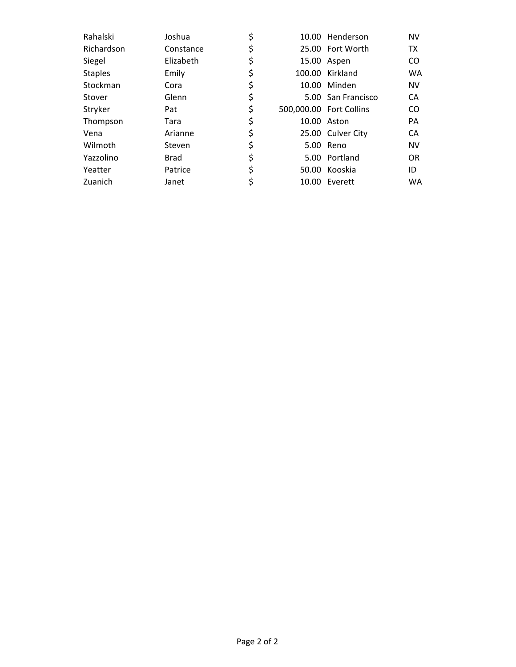| Rahalski       | Joshua      | \$ | 10.00 Henderson         | <b>NV</b> |
|----------------|-------------|----|-------------------------|-----------|
| Richardson     | Constance   | \$ | 25.00 Fort Worth        | <b>TX</b> |
| Siegel         | Elizabeth   | \$ | 15.00 Aspen             | CO.       |
| <b>Staples</b> | Emily       | \$ | 100.00 Kirkland         | <b>WA</b> |
| Stockman       | Cora        | \$ | 10.00 Minden            | <b>NV</b> |
| Stover         | Glenn       | \$ | 5.00 San Francisco      | CA        |
| Stryker        | Pat         | \$ | 500,000.00 Fort Collins | CO.       |
| Thompson       | Tara        | \$ | 10.00 Aston             | <b>PA</b> |
| Vena           | Arianne     | \$ | 25.00 Culver City       | CA        |
| Wilmoth        | Steven      | \$ | 5.00 Reno               | <b>NV</b> |
| Yazzolino      | <b>Brad</b> | \$ | 5.00 Portland           | <b>OR</b> |
| Yeatter        | Patrice     | \$ | 50.00 Kooskia           | ID        |
| Zuanich        | Janet       |    | 10.00 Everett           | WA        |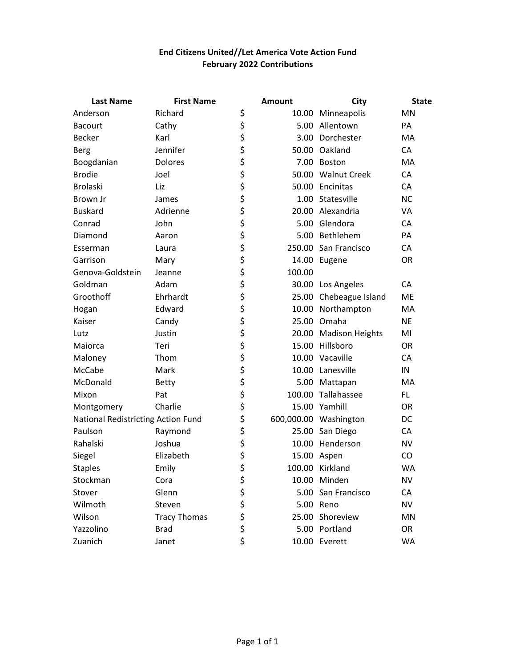## **End Citizens United//Let America Vote Action Fund February 2022 Contributions**

| <b>Last Name</b>                   | <b>First Name</b>   |          | <b>Amount</b> | <b>City</b>            | <b>State</b> |
|------------------------------------|---------------------|----------|---------------|------------------------|--------------|
| Anderson                           | Richard             | \$       |               | 10.00 Minneapolis      | MN           |
| <b>Bacourt</b>                     | Cathy               | \$       |               | 5.00 Allentown         | PA           |
| <b>Becker</b>                      | Karl                | \$       |               | 3.00 Dorchester        | MA           |
| <b>Berg</b>                        | Jennifer            | \$       |               | 50.00 Oakland          | CA           |
| Boogdanian                         | Dolores             | \$       |               | 7.00 Boston            | MA           |
| <b>Brodie</b>                      | Joel                | \$       |               | 50.00 Walnut Creek     | CA           |
| <b>Brolaski</b>                    | Liz                 | \$<br>\$ |               | 50.00 Encinitas        | CA           |
| Brown Jr                           | James               |          |               | 1.00 Statesville       | <b>NC</b>    |
| <b>Buskard</b>                     | Adrienne            | \$       |               | 20.00 Alexandria       | <b>VA</b>    |
| Conrad                             | John                | \$       |               | 5.00 Glendora          | CA           |
| Diamond                            | Aaron               |          |               | 5.00 Bethlehem         | PA           |
| Esserman                           | Laura               | \$<br>\$ |               | 250.00 San Francisco   | CA           |
| Garrison                           | Mary                | \$       |               | 14.00 Eugene           | <b>OR</b>    |
| Genova-Goldstein                   | Jeanne              | \$<br>\$ | 100.00        |                        |              |
| Goldman                            | Adam                |          |               | 30.00 Los Angeles      | <b>CA</b>    |
| Groothoff                          | Ehrhardt            | \$       |               | 25.00 Chebeague Island | <b>ME</b>    |
| Hogan                              | Edward              | \$       |               | 10.00 Northampton      | MA           |
| Kaiser                             | Candy               | \$       |               | 25.00 Omaha            | <b>NE</b>    |
| Lutz                               | Justin              | \$       |               | 20.00 Madison Heights  | MI           |
| Maiorca                            | Teri                | \$       |               | 15.00 Hillsboro        | <b>OR</b>    |
| Maloney                            | Thom                | \$<br>\$ |               | 10.00 Vacaville        | CA           |
| McCabe                             | Mark                |          |               | 10.00 Lanesville       | IN           |
| McDonald                           | <b>Betty</b>        | \$       |               | 5.00 Mattapan          | MA           |
| Mixon                              | Pat                 | \$       |               | 100.00 Tallahassee     | FL.          |
| Montgomery                         | Charlie             | \$       |               | 15.00 Yamhill          | <b>OR</b>    |
| National Redistricting Action Fund |                     | \$       |               | 600,000.00 Washington  | DC           |
| Paulson                            | Raymond             | \$       |               | 25.00 San Diego        | CA           |
| Rahalski                           | Joshua              | \$<br>\$ |               | 10.00 Henderson        | <b>NV</b>    |
| Siegel                             | Elizabeth           |          |               | 15.00 Aspen            | CO           |
| <b>Staples</b>                     | Emily               | Ś        |               | 100.00 Kirkland        | <b>WA</b>    |
| Stockman                           | Cora                | \$       |               | 10.00 Minden           | <b>NV</b>    |
| Stover                             | Glenn               | \$       |               | 5.00 San Francisco     | CA           |
| Wilmoth                            | Steven              |          |               | 5.00 Reno              | <b>NV</b>    |
| Wilson                             | <b>Tracy Thomas</b> | \$<br>\$ |               | 25.00 Shoreview        | MN           |
| Yazzolino                          | <b>Brad</b>         | \$       |               | 5.00 Portland          | <b>OR</b>    |
| Zuanich                            | Janet               | \$       |               | 10.00 Everett          | WA           |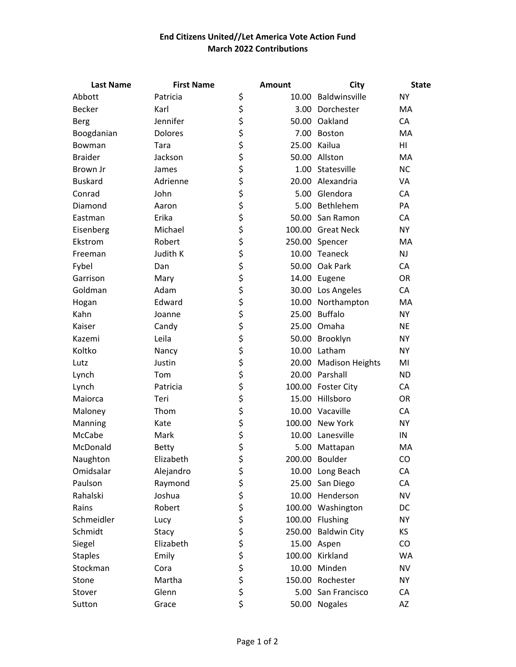## **End Citizens United//Let America Vote Action Fund March 2022 Contributions**

| <b>Last Name</b> | <b>First Name</b> | <b>Amount</b> | City                  | <b>State</b> |
|------------------|-------------------|---------------|-----------------------|--------------|
| Abbott           | Patricia          | \$            | 10.00 Baldwinsville   | <b>NY</b>    |
| Becker           | Karl              | \$            | 3.00 Dorchester       | MA           |
| Berg             | Jennifer          | \$            | 50.00 Oakland         | CA           |
| Boogdanian       | Dolores           | \$            | 7.00 Boston           | MA           |
| Bowman           | Tara              | \$            | 25.00 Kailua          | HI           |
| <b>Braider</b>   | Jackson           | \$            | 50.00 Allston         | MA           |
| Brown Jr         | James             | \$            | 1.00 Statesville      | <b>NC</b>    |
| <b>Buskard</b>   | Adrienne          | \$            | 20.00 Alexandria      | VA           |
| Conrad           | John              | \$            | 5.00 Glendora         | CA           |
| Diamond          | Aaron             | \$            | 5.00 Bethlehem        | PA           |
| Eastman          | Erika             | \$            | 50.00 San Ramon       | CA           |
| Eisenberg        | Michael           | \$            | 100.00 Great Neck     | <b>NY</b>    |
| Ekstrom          | Robert            | \$            | 250.00 Spencer        | MA           |
| Freeman          | Judith K          | \$            | 10.00 Teaneck         | <b>NJ</b>    |
| Fybel            | Dan               | \$            | 50.00 Oak Park        | CA           |
| Garrison         | Mary              | \$            | 14.00 Eugene          | <b>OR</b>    |
| Goldman          | Adam              | \$            | 30.00 Los Angeles     | CA           |
| Hogan            | Edward            | \$            | 10.00 Northampton     | MA           |
| Kahn             | Joanne            | \$            | 25.00 Buffalo         | <b>NY</b>    |
| Kaiser           | Candy             | \$            | 25.00 Omaha           | <b>NE</b>    |
| Kazemi           | Leila             | \$            | 50.00 Brooklyn        | <b>NY</b>    |
| Koltko           | Nancy             | \$            | 10.00 Latham          | <b>NY</b>    |
| Lutz             | Justin            | \$            | 20.00 Madison Heights | MI           |
| Lynch            | Tom               | \$            | 20.00 Parshall        | <b>ND</b>    |
| Lynch            | Patricia          | \$            | 100.00 Foster City    | CA           |
| Maiorca          | Teri              | \$            | 15.00 Hillsboro       | OR           |
| Maloney          | Thom              | \$            | 10.00 Vacaville       | CA           |
| Manning          | Kate              | \$            | 100.00 New York       | <b>NY</b>    |
| McCabe           | Mark              | \$            | 10.00 Lanesville      | IN           |
| McDonald         | <b>Betty</b>      | \$            | 5.00 Mattapan         | MA           |
| Naughton         | Elizabeth         | \$            | 200.00 Boulder        | CO           |
| Omidsalar        | Alejandro         | \$            | 10.00 Long Beach      | CA           |
| Paulson          | Raymond           | \$            | 25.00 San Diego       | CA           |
| Rahalski         | Joshua            | \$            | 10.00 Henderson       | <b>NV</b>    |
| Rains            | Robert            | \$            | 100.00 Washington     | DC           |
| Schmeidler       | Lucy              | \$            | 100.00 Flushing       | <b>NY</b>    |
| Schmidt          | Stacy             | \$            | 250.00 Baldwin City   | <b>KS</b>    |
| Siegel           | Elizabeth         | \$            | 15.00 Aspen           | CO           |
| <b>Staples</b>   | Emily             | \$            | 100.00 Kirkland       | <b>WA</b>    |
| Stockman         | Cora              | \$            | 10.00 Minden          | <b>NV</b>    |
| Stone            | Martha            | \$            | 150.00 Rochester      | <b>NY</b>    |
| Stover           | Glenn             | \$            | 5.00 San Francisco    | CA           |
| Sutton           | Grace             | \$            | 50.00 Nogales         | AZ           |